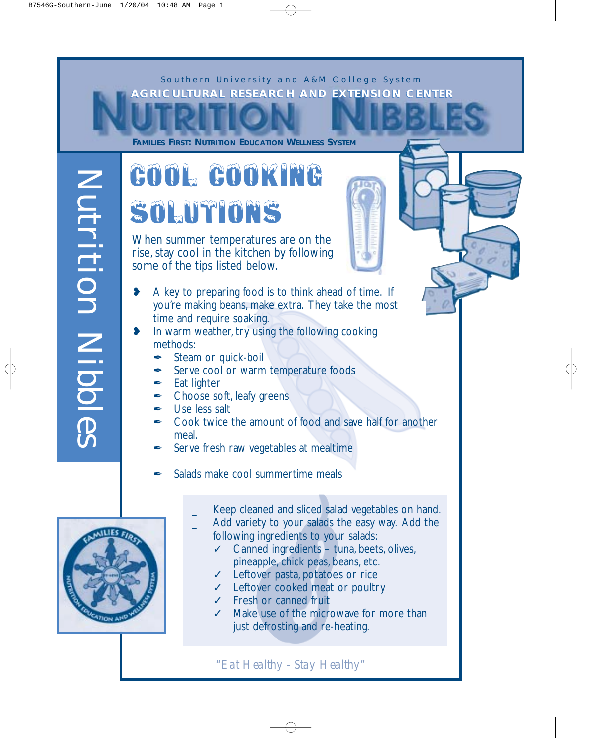

**FAMILIES FIRST: NUTRITION EDUCATION WELLNESS SYSTEM**

### Cool Cooking Solutions

When summer temperatures are on the rise, stay cool in the kitchen by following some of the tips listed below.

- ❥ A key to preparing food is to think ahead of time. If you're making beans, make extra. They take the most time and require soaking.
- ❥ In warm weather, try using the following cooking methods:
	- **★ Steam or quick-boil**
	- Serve cool or warm temperature foods
	- $\angle$  Eat lighter
	- **∕** Choose soft, leafy greens
	- **∕** Use less salt
	- **★** Cook twice the amount of food and save half for another meal.
	- ✒ Serve fresh raw vegetables at mealtime
	- Salads make cool summertime meals
		- Keep cleaned and sliced salad vegetables on hand.
		- Add variety to your salads the easy way. Add the following ingredients to your salads:
			- ✓ Canned ingredients tuna, beets, olives, pineapple, chick peas, beans, etc.
			- ✓ Leftover pasta, potatoes or rice
			- ✓ Leftover cooked meat or poultry
			- ✓ Fresh or canned fruit
			- ✓ Make use of the microwave for more than just defrosting and re-heating.

"Eat Healthy - Stay Healthy"



Nutrition Nibbles

 $\sigma$  $\sim$ 

Nutrition Nibbl